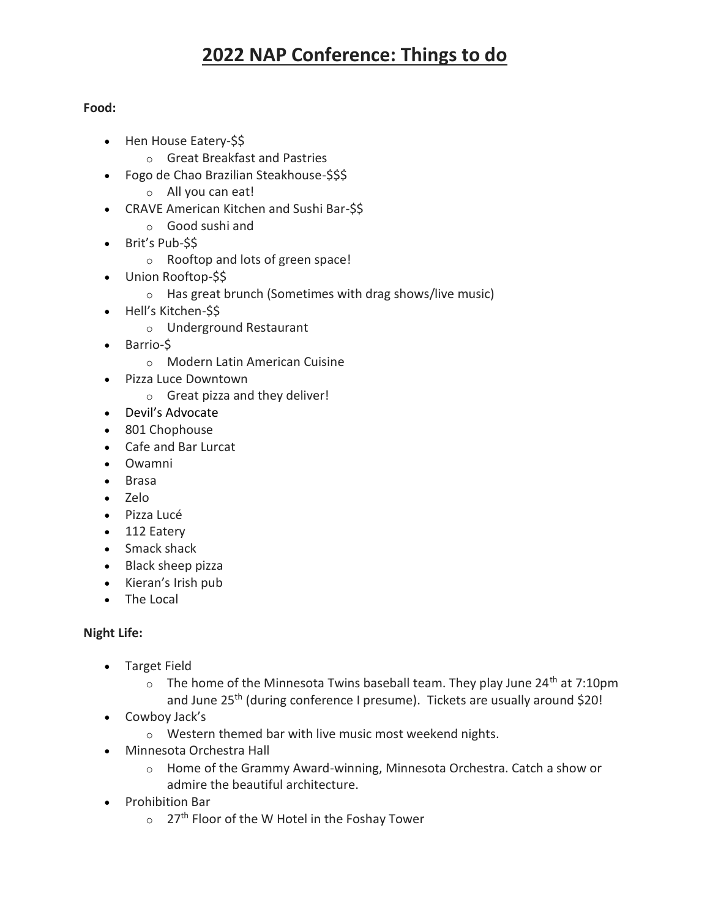# **2022 NAP Conference: Things to do**

### **Food:**

- Hen House Eatery-\$\$
	- o Great Breakfast and Pastries
- Fogo de Chao Brazilian Steakhouse-\$\$\$
	- o All you can eat!
- CRAVE American Kitchen and Sushi Bar-\$\$
	- o Good sushi and
- Brit's Pub-\$\$
	- o Rooftop and lots of green space!
- Union Rooftop-\$\$
	- o Has great brunch (Sometimes with drag shows/live music)
- Hell's Kitchen-\$\$
	- o Underground Restaurant
- Barrio-\$
	- o Modern Latin American Cuisine
- Pizza Luce Downtown
	- o Great pizza and they deliver!
- Devil's Advocate
- 801 Chophouse
- Cafe and Bar Lurcat
- Owamni
- Brasa
- Zelo
- Pizza Lucé
- 112 Eatery
- Smack shack
- Black sheep pizza
- Kieran's Irish pub
- The Local

### **Night Life:**

- Target Field
	- $\circ$  The home of the Minnesota Twins baseball team. They play June 24<sup>th</sup> at 7:10pm and June 25<sup>th</sup> (during conference I presume). Tickets are usually around \$20!
- Cowboy Jack's
	- o Western themed bar with live music most weekend nights.
- Minnesota Orchestra Hall
	- o Home of the Grammy Award-winning, Minnesota Orchestra. Catch a show or admire the beautiful architecture.
- Prohibition Bar
	- $\circ$  27<sup>th</sup> Floor of the W Hotel in the Foshay Tower